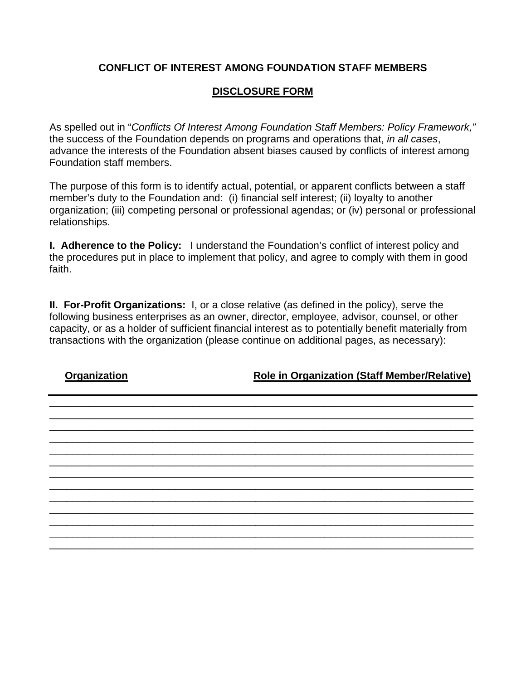## **CONFLICT OF INTEREST AMONG FOUNDATION STAFF MEMBERS**

## **DISCLOSURE FORM**

As spelled out in "*Conflicts Of Interest Among Foundation Staff Members: Policy Framework,"* the success of the Foundation depends on programs and operations that, *in all cases*, advance the interests of the Foundation absent biases caused by conflicts of interest among Foundation staff members.

The purpose of this form is to identify actual, potential, or apparent conflicts between a staff member's duty to the Foundation and: (i) financial self interest; (ii) loyalty to another organization; (iii) competing personal or professional agendas; or (iv) personal or professional relationships.

**I. Adherence to the Policy:** I understand the Foundation's conflict of interest policy and the procedures put in place to implement that policy, and agree to comply with them in good faith.

**II. For-Profit Organizations:** I, or a close relative (as defined in the policy), serve the following business enterprises as an owner, director, employee, advisor, counsel, or other capacity, or as a holder of sufficient financial interest as to potentially benefit materially from transactions with the organization (please continue on additional pages, as necessary):

\_\_\_\_\_\_\_\_\_\_\_\_\_\_\_\_\_\_\_\_\_\_\_\_\_\_\_\_\_\_\_\_\_\_\_\_\_\_\_\_\_\_\_\_\_\_\_\_\_\_\_\_\_\_\_\_\_\_\_\_\_\_\_\_\_\_\_\_\_\_\_\_\_\_ \_\_\_\_\_\_\_\_\_\_\_\_\_\_\_\_\_\_\_\_\_\_\_\_\_\_\_\_\_\_\_\_\_\_\_\_\_\_\_\_\_\_\_\_\_\_\_\_\_\_\_\_\_\_\_\_\_\_\_\_\_\_\_\_\_\_\_\_\_\_\_\_\_\_ \_\_\_\_\_\_\_\_\_\_\_\_\_\_\_\_\_\_\_\_\_\_\_\_\_\_\_\_\_\_\_\_\_\_\_\_\_\_\_\_\_\_\_\_\_\_\_\_\_\_\_\_\_\_\_\_\_\_\_\_\_\_\_\_\_\_\_\_\_\_\_\_\_\_ \_\_\_\_\_\_\_\_\_\_\_\_\_\_\_\_\_\_\_\_\_\_\_\_\_\_\_\_\_\_\_\_\_\_\_\_\_\_\_\_\_\_\_\_\_\_\_\_\_\_\_\_\_\_\_\_\_\_\_\_\_\_\_\_\_\_\_\_\_\_\_\_\_\_ \_\_\_\_\_\_\_\_\_\_\_\_\_\_\_\_\_\_\_\_\_\_\_\_\_\_\_\_\_\_\_\_\_\_\_\_\_\_\_\_\_\_\_\_\_\_\_\_\_\_\_\_\_\_\_\_\_\_\_\_\_\_\_\_\_\_\_\_\_\_\_\_\_\_ \_\_\_\_\_\_\_\_\_\_\_\_\_\_\_\_\_\_\_\_\_\_\_\_\_\_\_\_\_\_\_\_\_\_\_\_\_\_\_\_\_\_\_\_\_\_\_\_\_\_\_\_\_\_\_\_\_\_\_\_\_\_\_\_\_\_\_\_\_\_\_\_\_\_ \_\_\_\_\_\_\_\_\_\_\_\_\_\_\_\_\_\_\_\_\_\_\_\_\_\_\_\_\_\_\_\_\_\_\_\_\_\_\_\_\_\_\_\_\_\_\_\_\_\_\_\_\_\_\_\_\_\_\_\_\_\_\_\_\_\_\_\_\_\_\_\_\_\_ \_\_\_\_\_\_\_\_\_\_\_\_\_\_\_\_\_\_\_\_\_\_\_\_\_\_\_\_\_\_\_\_\_\_\_\_\_\_\_\_\_\_\_\_\_\_\_\_\_\_\_\_\_\_\_\_\_\_\_\_\_\_\_\_\_\_\_\_\_\_\_\_\_\_ \_\_\_\_\_\_\_\_\_\_\_\_\_\_\_\_\_\_\_\_\_\_\_\_\_\_\_\_\_\_\_\_\_\_\_\_\_\_\_\_\_\_\_\_\_\_\_\_\_\_\_\_\_\_\_\_\_\_\_\_\_\_\_\_\_\_\_\_\_\_\_\_\_\_ \_\_\_\_\_\_\_\_\_\_\_\_\_\_\_\_\_\_\_\_\_\_\_\_\_\_\_\_\_\_\_\_\_\_\_\_\_\_\_\_\_\_\_\_\_\_\_\_\_\_\_\_\_\_\_\_\_\_\_\_\_\_\_\_\_\_\_\_\_\_\_\_\_\_ \_\_\_\_\_\_\_\_\_\_\_\_\_\_\_\_\_\_\_\_\_\_\_\_\_\_\_\_\_\_\_\_\_\_\_\_\_\_\_\_\_\_\_\_\_\_\_\_\_\_\_\_\_\_\_\_\_\_\_\_\_\_\_\_\_\_\_\_\_\_\_\_\_\_ \_\_\_\_\_\_\_\_\_\_\_\_\_\_\_\_\_\_\_\_\_\_\_\_\_\_\_\_\_\_\_\_\_\_\_\_\_\_\_\_\_\_\_\_\_\_\_\_\_\_\_\_\_\_\_\_\_\_\_\_\_\_\_\_\_\_\_\_\_\_\_\_\_\_ \_\_\_\_\_\_\_\_\_\_\_\_\_\_\_\_\_\_\_\_\_\_\_\_\_\_\_\_\_\_\_\_\_\_\_\_\_\_\_\_\_\_\_\_\_\_\_\_\_\_\_\_\_\_\_\_\_\_\_\_\_\_\_\_\_\_\_\_\_\_\_\_\_\_

**Organization Role in Organization (Staff Member/Relative)**